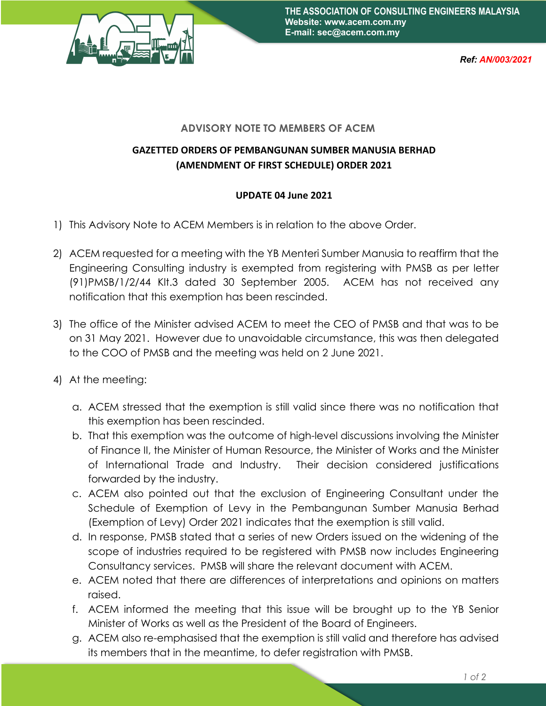

*Ref: AN/003/2021*

## **ADVISORY NOTE TO MEMBERS OF ACEM**

## **GAZETTED ORDERS OF PEMBANGUNAN SUMBER MANUSIA BERHAD (AMENDMENT OF FIRST SCHEDULE) ORDER 2021**

## **UPDATE 04 June 2021**

- 1) This Advisory Note to ACEM Members is in relation to the above Order.
- 2) ACEM requested for a meeting with the YB Menteri Sumber Manusia to reaffirm that the Engineering Consulting industry is exempted from registering with PMSB as per letter (91)PMSB/1/2/44 Klt.3 dated 30 September 2005. ACEM has not received any notification that this exemption has been rescinded.
- 3) The office of the Minister advised ACEM to meet the CEO of PMSB and that was to be on 31 May 2021. However due to unavoidable circumstance, this was then delegated to the COO of PMSB and the meeting was held on 2 June 2021.
- 4) At the meeting:
	- a. ACEM stressed that the exemption is still valid since there was no notification that this exemption has been rescinded.
	- b. That this exemption was the outcome of high-level discussions involving the Minister of Finance II, the Minister of Human Resource, the Minister of Works and the Minister of International Trade and Industry. Their decision considered justifications forwarded by the industry.
	- c. ACEM also pointed out that the exclusion of Engineering Consultant under the Schedule of Exemption of Levy in the Pembangunan Sumber Manusia Berhad (Exemption of Levy) Order 2021 indicates that the exemption is still valid.
	- d. In response, PMSB stated that a series of new Orders issued on the widening of the scope of industries required to be registered with PMSB now includes Engineering Consultancy services. PMSB will share the relevant document with ACEM.
	- e. ACEM noted that there are differences of interpretations and opinions on matters raised.
	- f. ACEM informed the meeting that this issue will be brought up to the YB Senior Minister of Works as well as the President of the Board of Engineers.
	- g. ACEM also re-emphasised that the exemption is still valid and therefore has advised its members that in the meantime, to defer registration with PMSB.